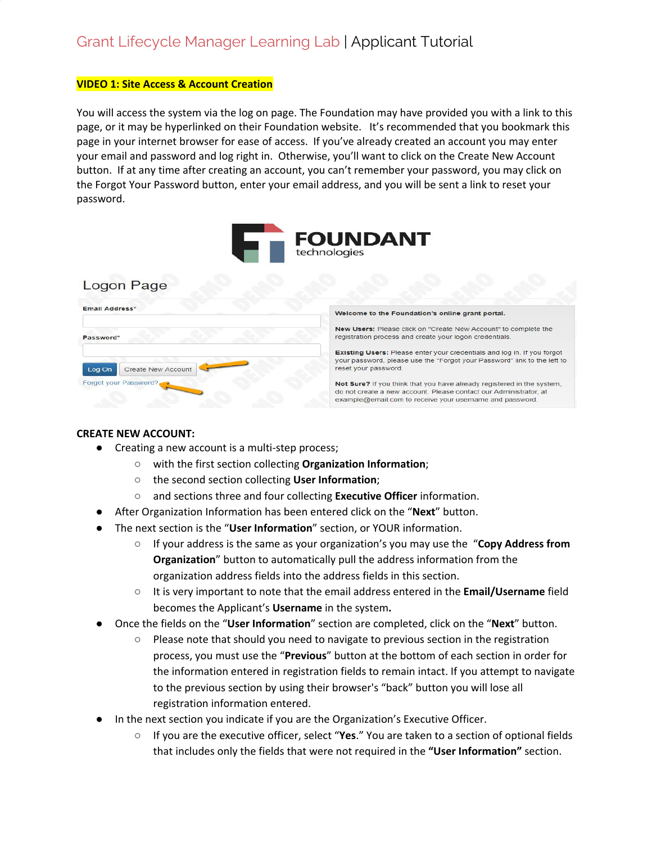#### **VIDEO 1: Site Access & Account Creation**

You will access the system via the log on page. The Foundation may have provided you with a link to this page, or it may be hyperlinked on their Foundation website. It's recommended that you bookmark this page in your internet browser for ease of access. If you've already created an account you may enter your email and password and log right in. Otherwise, you'll want to click on the Create New Account button. If at any time after creating an account, you can't remember your password, you may click on the Forgot Your Password button, enter your email address, and you will be sent a link to reset your password.



the left to

### Logon Page

| Email Address*                      | Welcome to the Foundation's online grant portal.                                                                                                                                                        |
|-------------------------------------|---------------------------------------------------------------------------------------------------------------------------------------------------------------------------------------------------------|
| Password*                           | New Users: Please click on "Create New Account" to complete the<br>registration process and create your logon credentials.                                                                              |
| <b>Create New Account</b><br>Log On | Existing Users: Please enter your credentials and log in. If you forgot<br>your password, please use the "Forgot your Password" link to the left t<br>reset your password.                              |
| Forgot your Password?               | Not Sure? If you think that you have already registered in the system,<br>do not create a new account. Please contact our Administrator, at<br>example@email.com to receive your username and password. |

#### **CREATE NEW ACCOUNT:**

- Creating a new account is a multi-step process;
	- with the first section collecting **Organization Information**;
	- the second section collecting **User Information**;
	- and sections three and four collecting **Executive Officer** information.
- After Organization Information has been entered click on the "**Next**" button.
- The next section is the "**User Information**" section, or YOUR information.
	- If your address is the same as your organization's you may use the "**Copy Address from Organization**" button to automatically pull the address information from the organization address fields into the address fields in this section.
	- It is very important to note that the email address entered in the **Email/Username** field becomes the Applicant's **Username** in the system**.**
- Once the fields on the "**User Information**" section are completed, click on the "**Next**" button.
	- Please note that should you need to navigate to previous section in the registration process, you must use the "**Previous**" button at the bottom of each section in order for the information entered in registration fields to remain intact. If you attempt to navigate to the previous section by using their browser's "back" button you will lose all registration information entered.
- In the next section you indicate if you are the Organization's Executive Officer.
	- If you are the executive officer, select "**Yes**." You are taken to a section of optional fields that includes only the fields that were not required in the **"User Information"** section.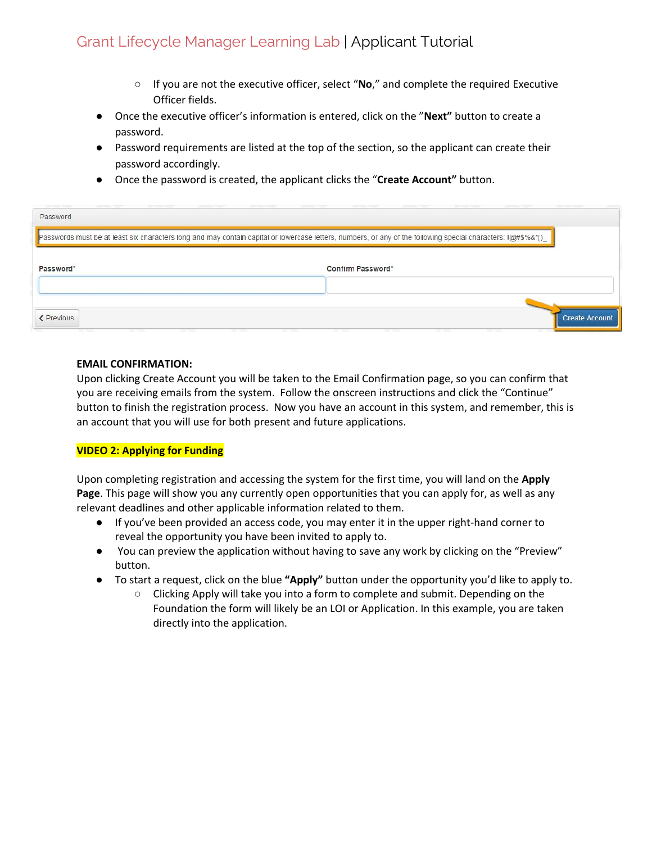## Grant Lifecycle Manager Learning Lab | Applicant Tutorial

- If you are not the executive officer, select "**No**," and complete the required Executive Officer fields.
- Once the executive officer's information is entered, click on the "**Next"** button to create a password.
- Password requirements are listed at the top of the section, so the applicant can create their password accordingly.
- Once the password is created, the applicant clicks the "**Create Account"** button.

| Password          |                                                                                                                                                                 |
|-------------------|-----------------------------------------------------------------------------------------------------------------------------------------------------------------|
|                   | Passwords must be at least six characters long and may contain capital or lowercase letters, numbers, or any of the following special characters: $@$ #\$%&*()_ |
| Password*         | Confirm Password*                                                                                                                                               |
| <b>≮</b> Previous | <b>Create Account</b>                                                                                                                                           |

#### **EMAIL CONFIRMATION:**

Upon clicking Create Account you will be taken to the Email Confirmation page, so you can confirm that you are receiving emails from the system. Follow the onscreen instructions and click the "Continue" button to finish the registration process. Now you have an account in this system, and remember, this is an account that you will use for both present and future applications.

#### **VIDEO 2: Applying for Funding**

Upon completing registration and accessing the system for the first time, you will land on the **Apply Page**. This page will show you any currently open opportunities that you can apply for, as well as any relevant deadlines and other applicable information related to them.

- If you've been provided an access code, you may enter it in the upper right-hand corner to reveal the opportunity you have been invited to apply to.
- You can preview the application without having to save any work by clicking on the "Preview" button.
- To start a request, click on the blue **"Apply"** button under the opportunity you'd like to apply to.
	- Clicking Apply will take you into a form to complete and submit. Depending on the Foundation the form will likely be an LOI or Application. In this example, you are taken directly into the application.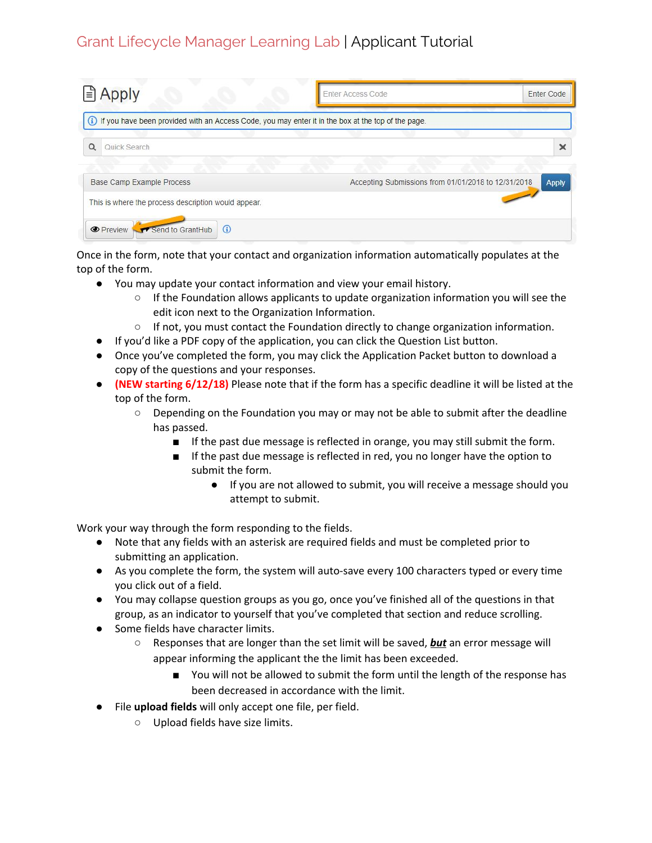Grant Lifecycle Manager Learning Lab | Applicant Tutorial

| $\triangle$ Apply                                                                                      | <b>Enter Access Code</b>                            | Enter Code   |
|--------------------------------------------------------------------------------------------------------|-----------------------------------------------------|--------------|
| (i) If you have been provided with an Access Code, you may enter it in the box at the top of the page. |                                                     |              |
| $\alpha$<br>Quick Search                                                                               |                                                     | $\times$     |
| <b>Base Camp Example Process</b>                                                                       | Accepting Submissions from 01/01/2018 to 12/31/2018 | <b>Apply</b> |
| This is where the process description would appear.                                                    |                                                     |              |
| Send to GrantHub<br>$\odot$<br><b>O</b> Preview                                                        |                                                     |              |

Once in the form, note that your contact and organization information automatically populates at the top of the form.

- You may update your contact information and view your email history.
	- If the Foundation allows applicants to update organization information you will see the edit icon next to the Organization Information.
	- If not, you must contact the Foundation directly to change organization information.
- If you'd like a PDF copy of the application, you can click the Question List button.
- Once you've completed the form, you may click the Application Packet button to download a copy of the questions and your responses.
- **(NEW starting 6/12/18)** Please note that if the form has a specific deadline it will be listed at the top of the form.
	- Depending on the Foundation you may or may not be able to submit after the deadline has passed.
		- If the past due message is reflected in orange, you may still submit the form.
		- If the past due message is reflected in red, you no longer have the option to submit the form.
			- If you are not allowed to submit, you will receive a message should you attempt to submit.

Work your way through the form responding to the fields.

- Note that any fields with an asterisk are required fields and must be completed prior to submitting an application.
- As you complete the form, the system will auto-save every 100 characters typed or every time you click out of a field.
- You may collapse question groups as you go, once you've finished all of the questions in that group, as an indicator to yourself that you've completed that section and reduce scrolling.
- Some fields have character limits.
	- Responses that are longer than the set limit will be saved, *but* an error message will appear informing the applicant the the limit has been exceeded.
		- You will not be allowed to submit the form until the length of the response has been decreased in accordance with the limit.
- File **upload fields** will only accept one file, per field.
	- Upload fields have size limits.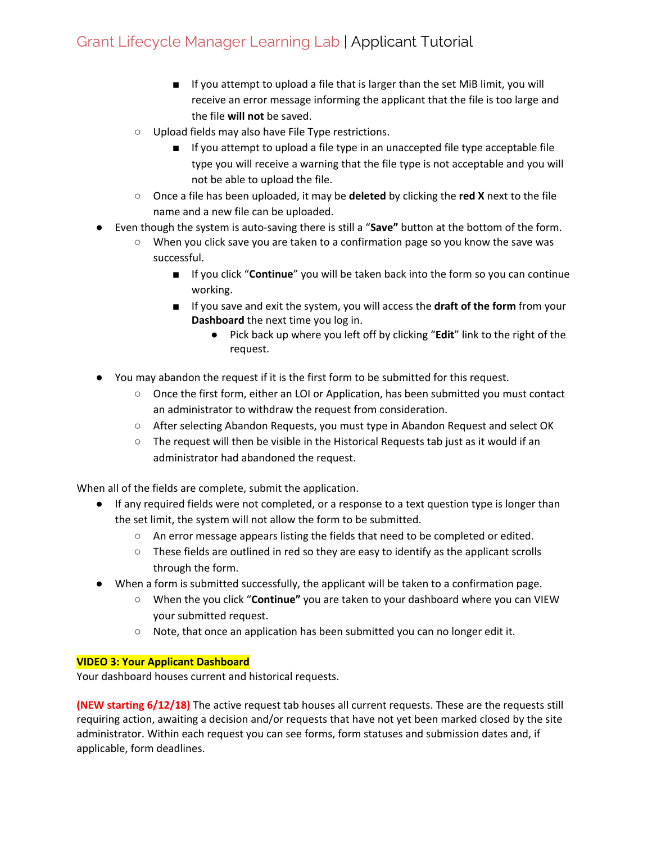# Grant Lifecycle Manager Learning Lab | Applicant Tutorial

- If you attempt to upload a file that is larger than the set MiB limit, you will receive an error message informing the applicant that the file is too large and the file **will not** be saved.
- Upload fields may also have File Type restrictions.
	- If you attempt to upload a file type in an unaccepted file type acceptable file type you will receive a warning that the file type is not acceptable and you will not be able to upload the file.
- Once a file has been uploaded, it may be **deleted** by clicking the **red X** next to the file name and a new file can be uploaded.
- Even though the system is auto-saving there is still a "**Save"** button at the bottom of the form.
	- When you click save you are taken to a confirmation page so you know the save was successful.
		- If you click "**Continue**" you will be taken back into the form so you can continue working.
		- If you save and exit the system, you will access the **draft of the form** from your **Dashboard** the next time you log in.
			- Pick back up where you left off by clicking "**Edit**" link to the right of the request.
- You may abandon the request if it is the first form to be submitted for this request.
	- Once the first form, either an LOI or Application, has been submitted you must contact an administrator to withdraw the request from consideration.
	- After selecting Abandon Requests, you must type in Abandon Request and select OK
	- $\circ$  The request will then be visible in the Historical Requests tab just as it would if an administrator had abandoned the request.

When all of the fields are complete, submit the application.

- If any required fields were not completed, or a response to a text question type is longer than the set limit, the system will not allow the form to be submitted.
	- An error message appears listing the fields that need to be completed or edited.
	- These fields are outlined in red so they are easy to identify as the applicant scrolls through the form.
- When a form is submitted successfully, the applicant will be taken to a confirmation page.
	- When the you click "**Continue"** you are taken to your dashboard where you can VIEW your submitted request.
	- Note, that once an application has been submitted you can no longer edit it.

### **VIDEO 3: Your Applicant Dashboard**

Your dashboard houses current and historical requests.

**(NEW starting 6/12/18)** The active request tab houses all current requests. These are the requests still requiring action, awaiting a decision and/or requests that have not yet been marked closed by the site administrator. Within each request you can see forms, form statuses and submission dates and, if applicable, form deadlines.